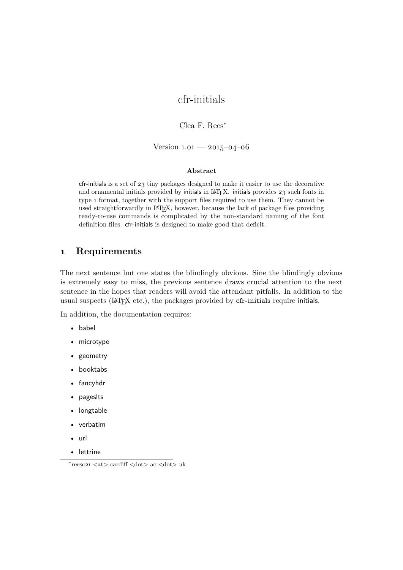# cfr-initials

Clea F. Rees<sup>∗</sup>

Version  $1.01 - 2015 - 04 - 06$ 

#### **Abstract**

cfr-initials is a set of 23 tiny packages designed to make it easier to use the decorative and ornamental initials provided by initials in LATEX. initials provides 23 such fonts in type 1 format, together with the support files required to use them. They cannot be used straightforwardly in LATEX, however, because the lack of package files providing ready-to-use commands is complicated by the non-standard naming of the font definition files. cfr-initials is designed to make good that deficit.

#### **1 Requirements**

The next sentence but one states the blindingly obvious. Sine the blindingly obvious is extremely easy to miss, the previous sentence draws crucial attention to the next sentence in the hopes that readers will avoid the attendant pitfalls. In addition to the usual suspects (IATEX etc.), the packages provided by cfr-initials require initials.

In addition, the documentation requires:

- babel
- microtype
- geometry
- booktabs
- fancyhdr
- pageslts
- longtable
- verbatim
- url
- lettrine

<sup>∗</sup> reesc21 <at> cardiff <dot> ac <dot> uk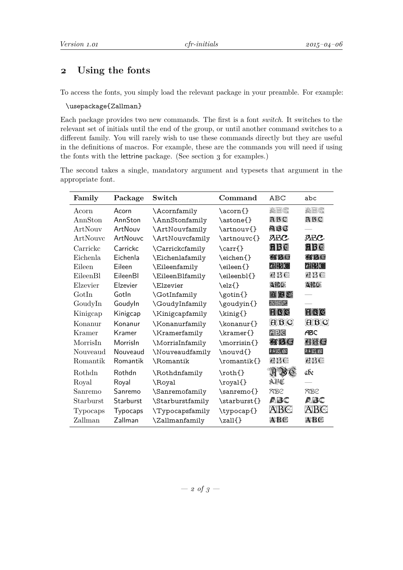## **2 Using the fonts**

To access the fonts, you simply load the relevant package in your preamble. For example:

#### \usepackage{Zallman}

Each package provides two new commands. The first is a font *switch*. It switches to the relevant set of initials until the end of the group, or until another command switches to a different family. You will rarely wish to use these commands directly but they are useful in the definitions of macros. For example, these are the commands you will need if using the fonts with the lettrine package. (See section 3 for examples.)

The second takes a single, mandatory argument and typesets that argument in the appropriate font.

| Family    | Package         | Switch                 | Command            | ABC                                          | abc                                      |
|-----------|-----------------|------------------------|--------------------|----------------------------------------------|------------------------------------------|
| Acorn     | Acorn           | \Acornfamily           | \acorn{}           | <b>ABC</b>                                   | <b>ABC</b>                               |
| AnnSton   | AnnSton         | \AnnStonfamily         | \astone{}          | ABC                                          | ABC                                      |
| ArtNouv   | ArtNouv         | \ArtNouvfamily         | \artnouv{}         | abc                                          |                                          |
| ArtNouvc  | ArtNouvc        | \ArtNouvcfamily        | \artnouvc{}        | abc,                                         | <b>ABC</b>                               |
| Carrickc  | Carrickc        | \Carrickcfamily        | \carr{}            | <b>RBC</b>                                   | fib (3                                   |
| Eichenla  | Eichenla        | \Eichenlafamily        | \eichen{}          | 有限圈                                          | 流形区                                      |
| Eileen    | Eileen          | \Eileenfamily          | \eileen{}          | <b>ABC</b>                                   | <b>ABC</b>                               |
| EileenBl  | EileenBl        | \EileenBlfamily        | \eileenbl{}        | 亮形色                                          | 亮形性                                      |
| Elzevier  | Elzevier        | \Elzevier              | $\left\{ \right\}$ | 女孩儿                                          | 如我您                                      |
| GotIn     | Gotln           | \GotInfamily           | \gotin{}           | 面包心                                          |                                          |
| GoudyIn   | GoudyIn         | \GoudyInfamily         | \goudyin{}         | ABC                                          |                                          |
| Kinigcap  | Kinigcap        | \Kinigcapfamily        | \kinig{}           | FER                                          | FBC                                      |
| Konanur   | Konanur         | \Konanurfamily         | \konanur{}         |                                              | $\boxplus\boxtimes$                      |
| Kramer    | Kramer          | \Kramerfamily          | \kramer{}          | FRC                                          | <b>ABC</b>                               |
| MorrisIn  | Morrisln        | \MorrisInfamily        | \morrisin{}        | 有限区                                          | 86 C                                     |
| Nouveaud  | Nouveaud        | \Nouveaudfamily        | \nouvd{}           | $\blacksquare$ $\blacksquare$ $\blacksquare$ | $\boxplus$ $\boxtimes$ $\textcircled{1}$ |
| Romantik  | Romantik        | \Romantik              | \romantik{}        | 煮仔健                                          | 亮形像                                      |
| Rothdn    | Rothdn          | \Rothdnfamily          | $\verb \roth $     | ABC                                          | аве                                      |
| Royal     | Royal           | \Royal                 | \royal{}           | ABC                                          |                                          |
| Sanremo   | Sanremo         | \Sanremofamily         | \sanremo{}         | <b>RBC</b>                                   | <b>RBC</b>                               |
| Starburst | Starburst       | \Starburstfamily       | \starburst{}       | ABC                                          | ABC                                      |
| Typocaps  | <b>Typocaps</b> | <b>\Typocapsfamily</b> | \typocap{}         | ABE                                          | ABE                                      |
| Zallman   | Zallman         | \Zallmanfamily         | \zall{}            | <b>ABC</b>                                   | a BC                                     |